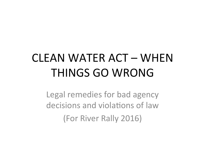# CLEAN WATER ACT – WHEN THINGS GO WRONG

Legal remedies for bad agency decisions and violations of law (For River Rally 2016)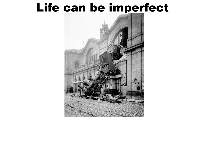#### Life can be imperfect

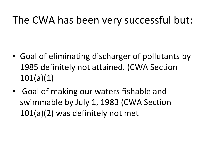#### The CWA has been very successful but:

- Goal of eliminating discharger of pollutants by 1985 definitely not attained. (CWA Section 101(a)(1)
- Goal of making our waters fishable and swimmable by July 1, 1983 (CWA Section  $101(a)(2)$  was definitely not met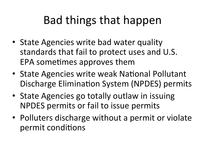# Bad things that happen

- State Agencies write bad water quality standards that fail to protect uses and U.S. EPA sometimes approves them
- State Agencies write weak National Pollutant Discharge Elimination System (NPDES) permits
- State Agencies go totally outlaw in issuing NPDES permits or fail to issue permits
- Polluters discharge without a permit or violate permit conditions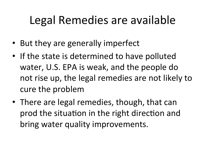# Legal Remedies are available

- But they are generally imperfect
- If the state is determined to have polluted water, U.S. EPA is weak, and the people do not rise up, the legal remedies are not likely to cure the problem
- There are legal remedies, though, that can prod the situation in the right direction and bring water quality improvements.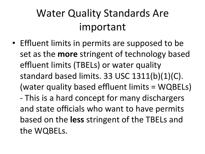#### Water Quality Standards Are important

• Effluent limits in permits are supposed to be set as the **more** stringent of technology based effluent limits (TBELs) or water quality standard based limits.  $33$  USC  $1311(b)(1)(C)$ . (water quality based effluent limits = WQBELs) - This is a hard concept for many dischargers and state officials who want to have permits based on the less stringent of the TBELs and the WQBELs.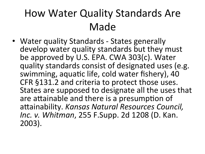#### How Water Quality Standards Are Made

• Water quality Standards - States generally develop water quality standards but they must be approved by U.S. EPA. CWA 303(c). Water quality standards consist of designated uses (e.g. swimming, aquatic life, cold water fishery), 40 CFR §131.2 and criteria to protect those uses. States are supposed to designate all the uses that are attainable and there is a presumption of attainability. *Kansas Natural Resources Council, Inc. v. Whitman,* 255 F.Supp. 2d 1208 (D. Kan.) 2003).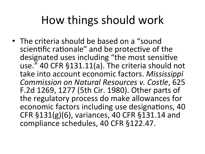## How things should work

• The criteria should be based on a "sound scientific rationale" and be protective of the designated uses including "the most sensitive use." 40 CFR §131.11(a). The criteria should not take into account economic factors. Mississippi *Commission on Natural Resources v. Costle*, 625 F.2d 1269, 1277 (5th Cir. 1980). Other parts of the regulatory process do make allowances for economic factors including use designations, 40 CFR §131(g)(6), variances, 40 CFR §131.14 and compliance schedules, 40 CFR §122.47.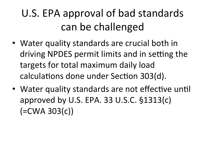## U.S. EPA approval of bad standards can be challenged

- Water quality standards are crucial both in driving NPDES permit limits and in setting the targets for total maximum daily load calculations done under Section 303(d).
- Water quality standards are not effective until approved by U.S. EPA. 33 U.S.C.  $$1313(c)$  $(=CWA 303(c))$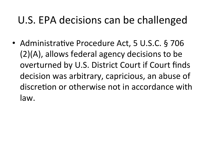#### U.S. EPA decisions can be challenged

• Administrative Procedure Act, 5 U.S.C. § 706  $(2)(A)$ , allows federal agency decisions to be overturned by U.S. District Court if Court finds decision was arbitrary, capricious, an abuse of discretion or otherwise not in accordance with law.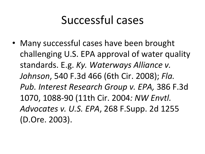## Successful cases

• Many successful cases have been brought challenging U.S. EPA approval of water quality standards. E.g. Ky. Waterways Alliance v. *Johnson,* 540 F.3d 466 (6th Cir. 2008); Fla. *Pub. Interest Research Group v. EPA,* 386 F.3d 1070, 1088-90 (11th Cir. 2004*: NW Envtl. Advocates v. U.S. EPA*, 268 F.Supp. 2d 1255 (D.Ore. 2003).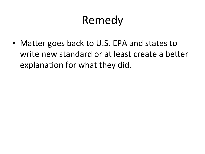# Remedy

• Matter goes back to U.S. EPA and states to write new standard or at least create a better explanation for what they did.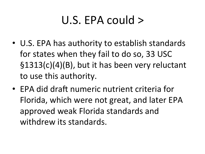# U.S. EPA could  $>$

- U.S. EPA has authority to establish standards for states when they fail to do so, 33 USC  $\S$ 1313(c)(4)(B), but it has been very reluctant to use this authority.
- EPA did draft numeric nutrient criteria for Florida, which were not great, and later EPA approved weak Florida standards and withdrew its standards.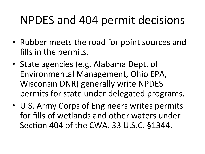### NPDES and 404 permit decisions

- Rubber meets the road for point sources and fills in the permits.
- State agencies (e.g. Alabama Dept. of Environmental Management, Ohio EPA, Wisconsin DNR) generally write NPDES permits for state under delegated programs.
- U.S. Army Corps of Engineers writes permits for fills of wetlands and other waters under Section 404 of the CWA. 33 U.S.C. §1344.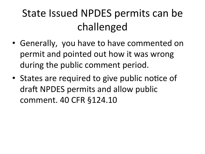### State Issued NPDES permits can be challenged

- Generally, you have to have commented on permit and pointed out how it was wrong during the public comment period.
- States are required to give public notice of draft NPDES permits and allow public comment. 40 CFR §124.10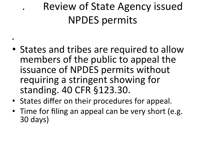# Review of State Agency issued NPDES permits

• States and tribes are required to allow members of the public to appeal the issuance of NPDES permits without requiring a stringent showing for standing. 40 CFR §123.30.

• 

- States differ on their procedures for appeal.
- Time for filing an appeal can be very short (e.g. 30 days)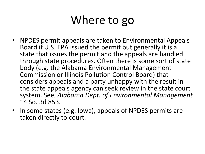## Where to go

- NPDES permit appeals are taken to Environmental Appeals Board if U.S. EPA issued the permit but generally it is a state that issues the permit and the appeals are handled through state procedures. Often there is some sort of state body (e.g. the Alabama Environmental Management Commission or Illinois Pollution Control Board) that considers appeals and a party unhappy with the result in the state appeals agency can seek review in the state court system. See, *Alabama Dept. of Environmental Management* 14 So. 3d 853.
- In some states (e.g. lowa), appeals of NPDES permits are taken directly to court.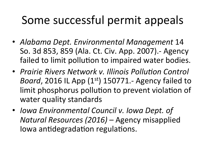# Some successful permit appeals

- *Alabama Dept. Environmental Management* 14 So. 3d 853, 859 (Ala. Ct. Civ. App. 2007). - Agency failed to limit pollution to impaired water bodies.
- Prairie Rivers Network *v. Illinois Pollution Control Board*, 2016 IL App  $(1<sup>st</sup>)$  150771.- Agency failed to limit phosphorus pollution to prevent violation of water quality standards
- *Iowa Environmental Council v. Iowa Dept. of Natural Resources (2016)* – Agency misapplied Iowa antidegradation regulations.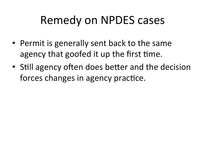## Remedy on NPDES cases

- Permit is generally sent back to the same agency that goofed it up the first time.
- Still agency often does better and the decision forces changes in agency practice.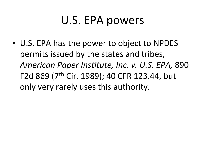# U.S. EPA powers

• U.S. EPA has the power to object to NPDES permits issued by the states and tribes, American Paper Institute, Inc. v. U.S. EPA, 890 F2d 869 (7<sup>th</sup> Cir. 1989); 40 CFR 123.44, but only very rarely uses this authority.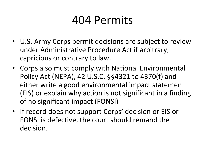#### 404 Permits

- U.S. Army Corps permit decisions are subject to review under Administrative Procedure Act if arbitrary, capricious or contrary to law.
- Corps also must comply with National Environmental Policy Act (NEPA), 42 U.S.C. §§4321 to 4370(f) and either write a good environmental impact statement (EIS) or explain why action is not significant in a finding of no significant impact (FONSI)
- If record does not support Corps' decision or EIS or FONSI is defective, the court should remand the decision.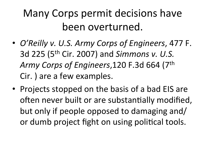#### Many Corps permit decisions have been overturned.

- *O'Reilly v. U.S. Army Corps of Engineers*, 477 F. 3d 225 (5<sup>th</sup> Cir. 2007) and *Simmons v. U.S.* Army Corps of Engineers, 120 F.3d 664 (7<sup>th</sup> Cir. ) are a few examples.
- Projects stopped on the basis of a bad EIS are often never built or are substantially modified, but only if people opposed to damaging and/ or dumb project fight on using political tools.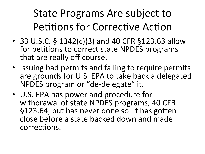#### State Programs Are subject to Petitions for Corrective Action

- 33 U.S.C.  $\S$  1342(c)(3) and 40 CFR  $\S$ 123.63 allow for petitions to correct state NPDES programs that are really off course.
- Issuing bad permits and failing to require permits are grounds for U.S. EPA to take back a delegated NPDES program or "de-delegate" it.
- U.S. EPA has power and procedure for withdrawal of state NPDES programs, 40 CFR §123.64, but has never done so. It has gotten close before a state backed down and made corrections.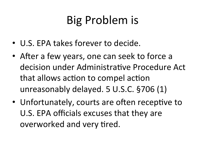# Big Problem is

- U.S. EPA takes forever to decide.
- After a few years, one can seek to force a decision under Administrative Procedure Act that allows action to compel action unreasonably delayed. 5 U.S.C. §706 (1)
- Unfortunately, courts are often receptive to U.S. EPA officials excuses that they are overworked and very tired.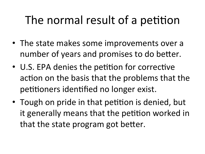# The normal result of a petition

- The state makes some improvements over a number of years and promises to do better.
- U.S. EPA denies the petition for corrective action on the basis that the problems that the petitioners identified no longer exist.
- Tough on pride in that petition is denied, but it generally means that the petition worked in that the state program got better.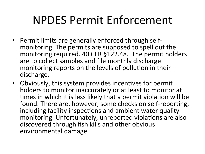## NPDES Permit Enforcement

- Permit limits are generally enforced through selfmonitoring. The permits are supposed to spell out the monitoring required. 40 CFR §122.48. The permit holders are to collect samples and file monthly discharge monitoring reports on the levels of pollution in their discharge.
- Obviously, this system provides incentives for permit holders to monitor inaccurately or at least to monitor at times in which it is less likely that a permit violation will be found. There are, however, some checks on self-reporting, including facility inspections and ambient water quality monitoring. Unfortunately, unreported violations are also discovered through fish kills and other obvious environmental damage.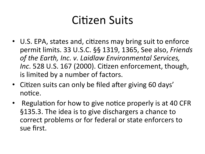### Citizen Suits

- U.S. EPA, states and, citizens may bring suit to enforce permit limits. 33 U.S.C. §§ 1319, 1365, See also, *Friends* of the Earth, Inc. v. Laidlaw Environmental Services, *Inc.* 528 U.S. 167 (2000). Citizen enforcement, though, is limited by a number of factors.
- Citizen suits can only be filed after giving 60 days' notice.
- Regulation for how to give notice properly is at 40 CFR §135.3. The idea is to give dischargers a chance to correct problems or for federal or state enforcers to sue first.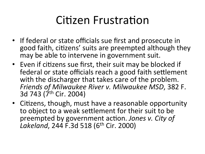## Citizen Frustration

- If federal or state officials sue first and prosecute in good faith, citizens' suits are preempted although they may be able to intervene in government suit.
- Even if citizens sue first, their suit may be blocked if federal or state officials reach a good faith settlement with the discharger that takes care of the problem. *Friends of Milwaukee River v. Milwaukee MSD*, 382 F. 3d 743 (7<sup>th</sup> Cir. 2004)
- Citizens, though, must have a reasonable opportunity to object to a weak settlement for their suit to be preempted by government action. Jones v. City of *Lakeland*, 244 F.3d 518 (6<sup>th</sup> Cir. 2000)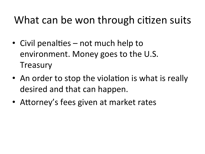#### What can be won through citizen suits

- Civil penalties not much help to environment. Money goes to the U.S. **Treasury**
- An order to stop the violation is what is really desired and that can happen.
- Attorney's fees given at market rates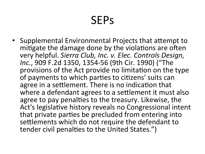## **SEPs**

• Supplemental Environmental Projects that attempt to mitigate the damage done by the violations are often very helpful. Sierra Club, Inc. v. Elec. Controls Design, *Inc.*, 909 F.2d 1350, 1354-56 (9th Cir. 1990) ("The provisions of the Act provide no limitation on the type of payments to which parties to citizens' suits can agree in a settlement. There is no indication that where a defendant agrees to a settlement it must also agree to pay penalties to the treasury. Likewise, the Act's legislative history reveals no Congressional intent that private parties be precluded from entering into settlements which do not require the defendant to tender civil penalties to the United States.")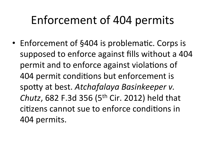# Enforcement of 404 permits

• Enforcement of §404 is problematic. Corps is supposed to enforce against fills without a 404 permit and to enforce against violations of 404 permit conditions but enforcement is spotty at best. Atchafalaya Basinkeeper v. *Chutz*, 682 F.3d 356 (5<sup>th</sup> Cir. 2012) held that citizens cannot sue to enforce conditions in 404 permits.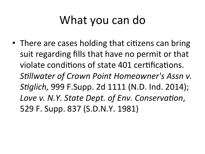# What you can do

• There are cases holding that citizens can bring suit regarding fills that have no permit or that violate conditions of state 401 certifications. *Stillwater of Crown Point Homeowner's Assn v. Stiglich,* 999 F.Supp. 2d 1111 (N.D. Ind. 2014); Love v. N.Y. State Dept. of Env. Conservation, 529 F. Supp. 837 (S.D.N.Y. 1981)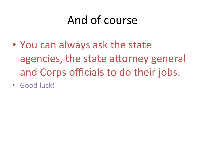# And of course

- You can always ask the state agencies, the state attorney general and Corps officials to do their jobs.
- Good luck!